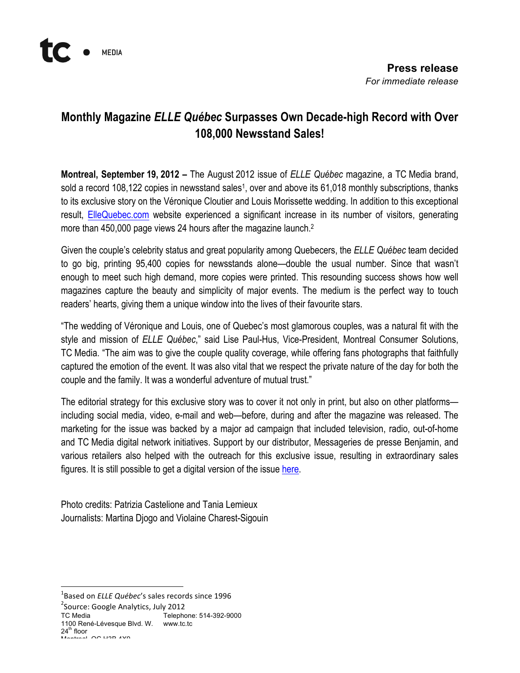

## **Monthly Magazine** *ELLE Québec* **Surpasses Own Decade-high Record with Over 108,000 Newsstand Sales!**

**Montreal, September 19, 2012 –** The August 2012 issue of *ELLE Québec* magazine, a TC Media brand, sold a record 108,122 copies in newsstand sales<sup>1</sup>, over and above its 61,018 monthly subscriptions, thanks to its exclusive story on the Véronique Cloutier and Louis Morissette wedding. In addition to this exceptional result, ElleQuebec.com website experienced a significant increase in its number of visitors, generating more than 450,000 page views 24 hours after the magazine launch.<sup>2</sup>

Given the couple's celebrity status and great popularity among Quebecers, the *ELLE Québec* team decided to go big, printing 95,400 copies for newsstands alone—double the usual number. Since that wasn't enough to meet such high demand, more copies were printed. This resounding success shows how well magazines capture the beauty and simplicity of major events. The medium is the perfect way to touch readers' hearts, giving them a unique window into the lives of their favourite stars.

"The wedding of Véronique and Louis, one of Quebec's most glamorous couples, was a natural fit with the style and mission of *ELLE Québec*," said Lise Paul-Hus, Vice-President, Montreal Consumer Solutions, TC Media. "The aim was to give the couple quality coverage, while offering fans photographs that faithfully captured the emotion of the event. It was also vital that we respect the private nature of the day for both the couple and the family. It was a wonderful adventure of mutual trust."

The editorial strategy for this exclusive story was to cover it not only in print, but also on other platforms including social media, video, e-mail and web—before, during and after the magazine was released. The marketing for the issue was backed by a major ad campaign that included television, radio, out-of-home and TC Media digital network initiatives. Support by our distributor, Messageries de presse Benjamin, and various retailers also helped with the outreach for this exclusive issue, resulting in extraordinary sales figures. It is still possible to get a digital version of the issue here.

Photo credits: Patrizia Castelione and Tania Lemieux Journalists: Martina Djogo and Violaine Charest-Sigouin

 $24^{\text{th}}$  floor  $M_{\text{shiral}}$   $\alpha$  H<sub>2</sub>B 4 $\alpha$ 

 $\frac{1}{1}$ <sup>1</sup>Based on *ELLE Québec's* sales records since 1996

 $2$ Source: Google Analytics, July 2012

TC Media Telephone: 514-392-9000

<sup>1100</sup> René-Lévesque Blvd. W. www.tc.tc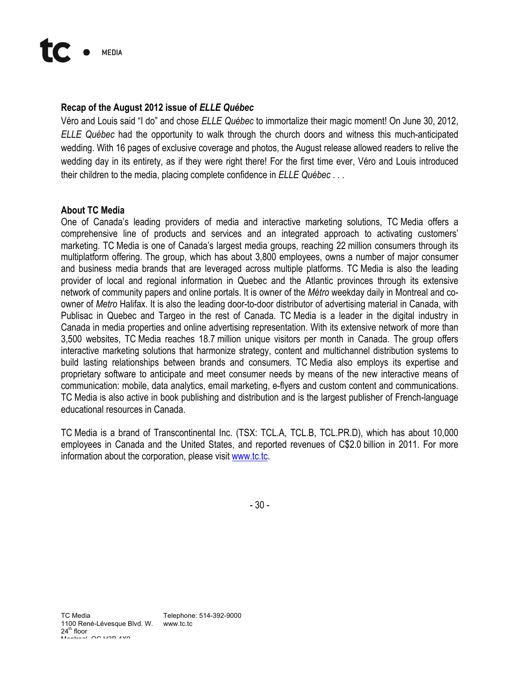## **Recap of the August 2012 issue of** *ELLE Québec*

Véro and Louis said "I do" and chose *ELLE Québec* to immortalize their magic moment! On June 30, 2012, *ELLE Québec* had the opportunity to walk through the church doors and witness this much-anticipated wedding. With 16 pages of exclusive coverage and photos, the August release allowed readers to relive the wedding day in its entirety, as if they were right there! For the first time ever, Véro and Louis introduced their children to the media, placing complete confidence in *ELLE Québec* . . .

## **About TC Media**

One of Canada's leading providers of media and interactive marketing solutions, TC Media offers a comprehensive line of products and services and an integrated approach to activating customers' marketing. TC Media is one of Canada's largest media groups, reaching 22 million consumers through its multiplatform offering. The group, which has about 3,800 employees, owns a number of major consumer and business media brands that are leveraged across multiple platforms. TC Media is also the leading provider of local and regional information in Quebec and the Atlantic provinces through its extensive network of community papers and online portals. It is owner of the *Métro* weekday daily in Montreal and coowner of *Metro* Halifax. It is also the leading door-to-door distributor of advertising material in Canada, with Publisac in Quebec and Targeo in the rest of Canada. TC Media is a leader in the digital industry in Canada in media properties and online advertising representation. With its extensive network of more than 3,500 websites, TC Media reaches 18.7 million unique visitors per month in Canada. The group offers interactive marketing solutions that harmonize strategy, content and multichannel distribution systems to build lasting relationships between brands and consumers. TC Media also employs its expertise and proprietary software to anticipate and meet consumer needs by means of the new interactive means of communication: mobile, data analytics, email marketing, e-flyers and custom content and communications. TC Media is also active in book publishing and distribution and is the largest publisher of French-language educational resources in Canada.

TC Media is a brand of Transcontinental Inc. (TSX: TCL.A, TCL.B, TCL.PR.D), which has about 10,000 employees in Canada and the United States, and reported revenues of C\$2.0 billion in 2011. For more information about the corporation, please visit www.tc.tc.

- 30 -